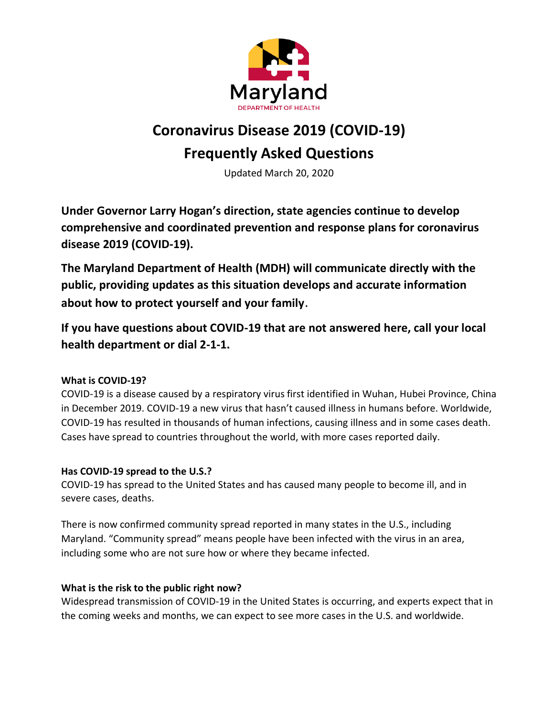

# **Coronavirus Disease 2019 (COVID-19) Frequently Asked Questions**

Updated March 20, 2020

**Under Governor Larry Hogan's direction, state agencies continue to develop comprehensive and coordinated prevention and response plans for coronavirus disease 2019 (COVID-19).**

**The Maryland Department of Health (MDH) will communicate directly with the public, providing updates as this situation develops and accurate information about how to protect yourself and your family**.

**If you have questions about COVID-19 that are not answered here, call your local health department or dial 2-1-1.** 

## **What is COVID-19?**

COVID-19 is a disease caused by a respiratory virus first identified in Wuhan, Hubei Province, China in December 2019. COVID-19 a new virus that hasn't caused illness in humans before. Worldwide, COVID-19 has resulted in thousands of human infections, causing illness and in some cases death. Cases have spread to countries throughout the world, with more cases reported daily.

#### **Has COVID-19 spread to the U.S.?**

COVID-19 has spread to the United States and has caused many people to become ill, and in severe cases, deaths.

There is now confirmed community spread reported in many states in the U.S., including Maryland. "Community spread" means people have been infected with the virus in an area, including some who are not sure how or where they became infected.

## **What is the risk to the public right now?**

Widespread transmission of COVID-19 in the United States is occurring, and experts expect that in the coming weeks and months, we can expect to see more cases in the U.S. and worldwide.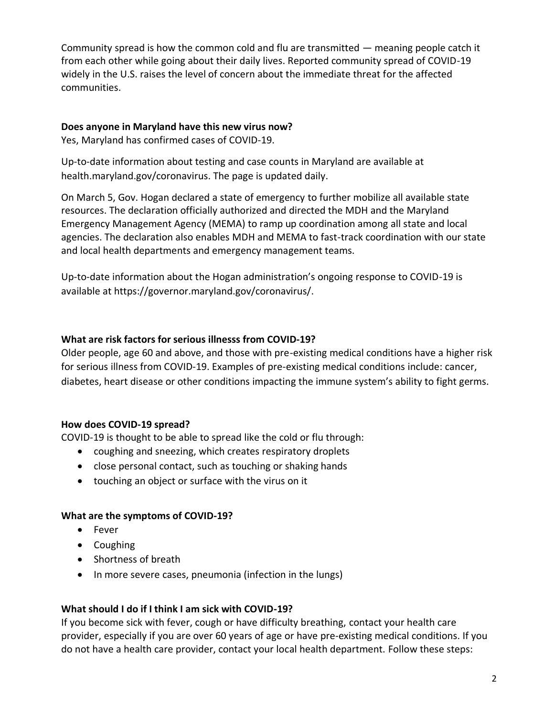Community spread is how the common cold and flu are transmitted — meaning people catch it from each other while going about their daily lives. Reported community spread of COVID-19 widely in the U.S. raises the level of concern about the immediate threat for the affected communities.

#### **Does anyone in Maryland have this new virus now?**

Yes, Maryland has confirmed cases of COVID-19.

Up-to-date information about testing and case counts in Maryland are available at health.maryland.gov/coronavirus. The page is updated daily.

On March 5, Gov. Hogan declared a state of emergency to further mobilize all available state resources. The declaration officially authorized and directed the MDH and the Maryland Emergency Management Agency (MEMA) to ramp up coordination among all state and local agencies. The declaration also enables MDH and MEMA to fast-track coordination with our state and local health departments and emergency management teams.

Up-to-date information about the Hogan administration's ongoing response to COVID-19 is available at https://governor.maryland.gov/coronavirus/.

## **What are risk factors for serious illnesss from COVID-19?**

Older people, age 60 and above, and those with pre-existing medical conditions have a higher risk for serious illness from COVID-19. Examples of pre-existing medical conditions include: cancer, diabetes, heart disease or other conditions impacting the immune system's ability to fight germs.

## **How does COVID-19 spread?**

COVID-19 is thought to be able to spread like the cold or flu through:

- coughing and sneezing, which creates respiratory droplets
- close personal contact, such as touching or shaking hands
- touching an object or surface with the virus on it

## **What are the symptoms of COVID-19?**

- Fever
- Coughing
- Shortness of breath
- In more severe cases, pneumonia (infection in the lungs)

## **What should I do if I think I am sick with COVID-19?**

If you become sick with fever, cough or have difficulty breathing, contact your health care provider, especially if you are over 60 years of age or have pre-existing medical conditions. If you do not have a health care provider, contact your local health department. Follow these steps: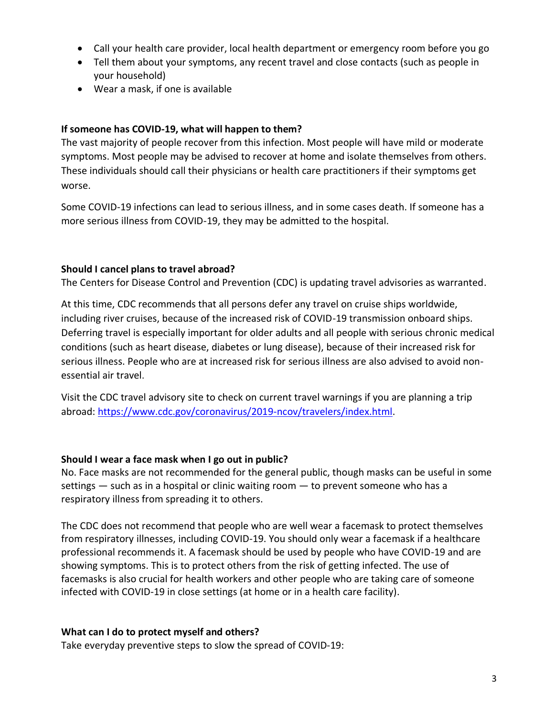- Call your health care provider, local health department or emergency room before you go
- Tell them about your symptoms, any recent travel and close contacts (such as people in your household)
- Wear a mask, if one is available

#### **If someone has COVID-19, what will happen to them?**

The vast majority of people recover from this infection. Most people will have mild or moderate symptoms. Most people may be advised to recover at home and isolate themselves from others. These individuals should call their physicians or health care practitioners if their symptoms get worse.

Some COVID-19 infections can lead to serious illness, and in some cases death. If someone has a more serious illness from COVID-19, they may be admitted to the hospital.

#### **Should I cancel plans to travel abroad?**

The Centers for Disease Control and Prevention (CDC) is updating travel advisories as warranted.

At this time, CDC recommends that all persons defer any travel on cruise ships worldwide, including river cruises, because of the increased risk of COVID-19 transmission onboard ships. Deferring travel is especially important for older adults and all people with serious chronic medical conditions (such as heart disease, diabetes or lung disease), because of their increased risk for serious illness. People who are at increased risk for serious illness are also advised to avoid nonessential air travel.

Visit the CDC travel advisory site to check on current travel warnings if you are planning a trip abroad: https://www.cdc.gov/coronavirus/2019-ncov/travelers/index.html.

#### **Should I wear a face mask when I go out in public?**

No. Face masks are not recommended for the general public, though masks can be useful in some settings – such as in a hospital or clinic waiting room – to prevent someone who has a respiratory illness from spreading it to others.

The CDC does not recommend that people who are well wear a facemask to protect themselves from respiratory illnesses, including COVID-19. You should only wear a facemask if a healthcare professional recommends it. A facemask should be used by people who have COVID-19 and are showing symptoms. This is to protect others from the risk of getting infected. The use of facemasks is also crucial for health workers and other people who are taking care of someone infected with COVID-19 in close settings (at home or in a health care facility).

#### **What can I do to protect myself and others?**

Take everyday preventive steps to slow the spread of COVID-19: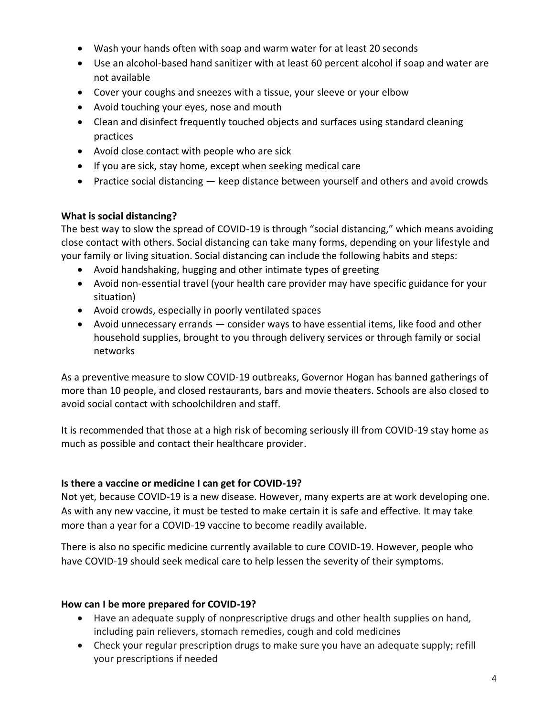- Wash your hands often with soap and warm water for at least 20 seconds
- Use an alcohol-based hand sanitizer with at least 60 percent alcohol if soap and water are not available
- Cover your coughs and sneezes with a tissue, your sleeve or your elbow
- Avoid touching your eyes, nose and mouth
- Clean and disinfect frequently touched objects and surfaces using standard cleaning practices
- Avoid close contact with people who are sick
- If you are sick, stay home, except when seeking medical care
- Practice social distancing keep distance between yourself and others and avoid crowds

#### **What is social distancing?**

The best way to slow the spread of COVID-19 is through "social distancing," which means avoiding close contact with others. Social distancing can take many forms, depending on your lifestyle and your family or living situation. Social distancing can include the following habits and steps:

- Avoid handshaking, hugging and other intimate types of greeting
- Avoid non-essential travel (your health care provider may have specific guidance for your situation)
- Avoid crowds, especially in poorly ventilated spaces
- Avoid unnecessary errands consider ways to have essential items, like food and other household supplies, brought to you through delivery services or through family or social networks

As a preventive measure to slow COVID-19 outbreaks, Governor Hogan has banned gatherings of more than 10 people, and closed restaurants, bars and movie theaters. Schools are also closed to avoid social contact with schoolchildren and staff.

It is recommended that those at a high risk of becoming seriously ill from COVID-19 stay home as much as possible and contact their healthcare provider.

#### **Is there a vaccine or medicine I can get for COVID-19?**

Not yet, because COVID-19 is a new disease. However, many experts are at work developing one. As with any new vaccine, it must be tested to make certain it is safe and effective. It may take more than a year for a COVID-19 vaccine to become readily available.

There is also no specific medicine currently available to cure COVID-19. However, people who have COVID-19 should seek medical care to help lessen the severity of their symptoms.

#### **How can I be more prepared for COVID-19?**

- Have an adequate supply of nonprescriptive drugs and other health supplies on hand, including pain relievers, stomach remedies, cough and cold medicines
- Check your regular prescription drugs to make sure you have an adequate supply; refill your prescriptions if needed